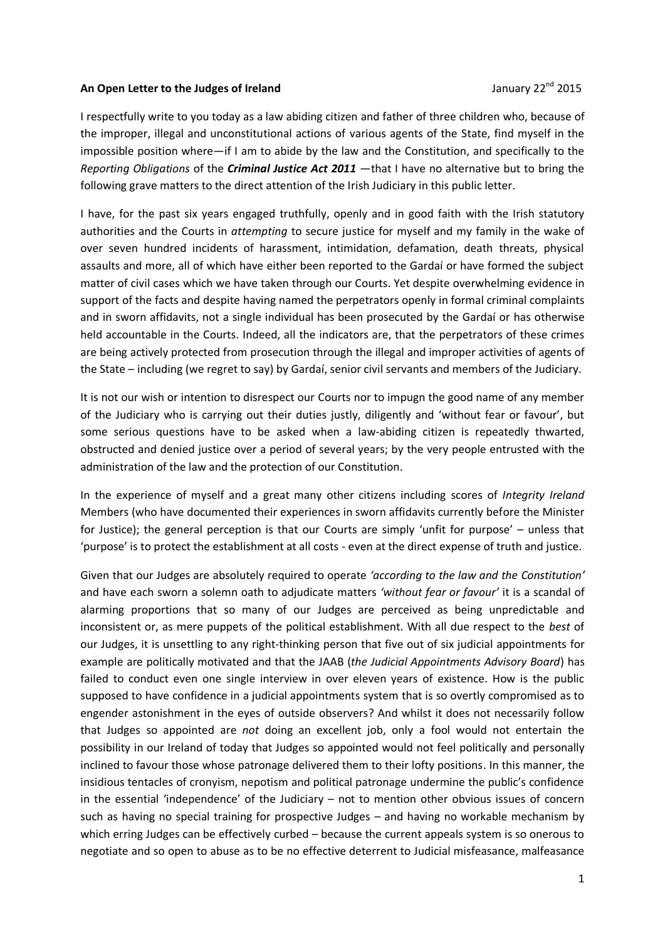## **An Open Letter to the Judges of Ireland <b>Server 2001 January 22<sup>nd</sup> 2015**

I respectfully write to you today as a law abiding citizen and father of three children who, because of the improper, illegal and unconstitutional actions of various agents of the State, find myself in the impossible position where—if I am to abide by the law and the Constitution, and specifically to the *Reporting Obligations* of the *Criminal Justice Act 2011* —that I have no alternative but to bring the following grave matters to the direct attention of the Irish Judiciary in this public letter.

I have, for the past six years engaged truthfully, openly and in good faith with the Irish statutory authorities and the Courts in *attempting* to secure justice for myself and my family in the wake of over seven hundred incidents of harassment, intimidation, defamation, death threats, physical assaults and more, all of which have either been reported to the Gardaí or have formed the subject matter of civil cases which we have taken through our Courts. Yet despite overwhelming evidence in support of the facts and despite having named the perpetrators openly in formal criminal complaints and in sworn affidavits, not a single individual has been prosecuted by the Gardaí or has otherwise held accountable in the Courts. Indeed, all the indicators are, that the perpetrators of these crimes are being actively protected from prosecution through the illegal and improper activities of agents of the State – including (we regret to say) by Gardaí, senior civil servants and members of the Judiciary.

It is not our wish or intention to disrespect our Courts nor to impugn the good name of any member of the Judiciary who is carrying out their duties justly, diligently and 'without fear or favour', but some serious questions have to be asked when a law-abiding citizen is repeatedly thwarted, obstructed and denied justice over a period of several years; by the very people entrusted with the administration of the law and the protection of our Constitution.

In the experience of myself and a great many other citizens including scores of *Integrity Ireland* Members (who have documented their experiences in sworn affidavits currently before the Minister for Justice); the general perception is that our Courts are simply 'unfit for purpose' – unless that 'purpose' is to protect the establishment at all costs - even at the direct expense of truth and justice.

Given that our Judges are absolutely required to operate *'according to the law and the Constitution'* and have each sworn a solemn oath to adjudicate matters *'without fear or favour'* it is a scandal of alarming proportions that so many of our Judges are perceived as being unpredictable and inconsistent or, as mere puppets of the political establishment. With all due respect to the *best* of our Judges, it is unsettling to any right-thinking person that five out of six judicial appointments for example are politically motivated and that the JAAB (*the Judicial Appointments Advisory Board*) has failed to conduct even one single interview in over eleven years of existence. How is the public supposed to have confidence in a judicial appointments system that is so overtly compromised as to engender astonishment in the eyes of outside observers? And whilst it does not necessarily follow that Judges so appointed are *not* doing an excellent job, only a fool would not entertain the possibility in our Ireland of today that Judges so appointed would not feel politically and personally inclined to favour those whose patronage delivered them to their lofty positions. In this manner, the insidious tentacles of cronyism, nepotism and political patronage undermine the public's confidence in the essential 'independence' of the Judiciary – not to mention other obvious issues of concern such as having no special training for prospective Judges – and having no workable mechanism by which erring Judges can be effectively curbed – because the current appeals system is so onerous to negotiate and so open to abuse as to be no effective deterrent to Judicial misfeasance, malfeasance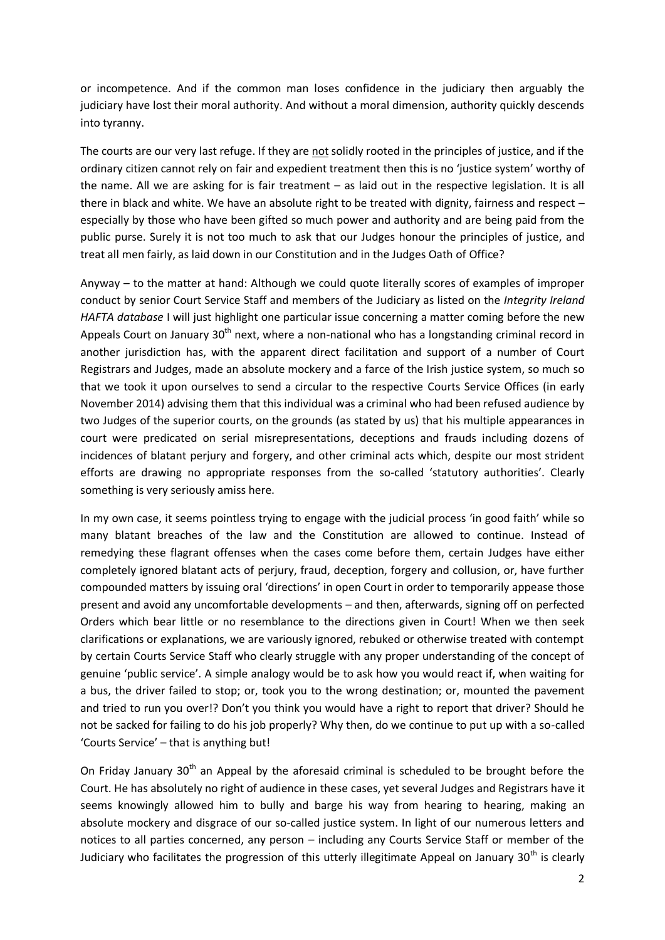or incompetence. And if the common man loses confidence in the judiciary then arguably the judiciary have lost their moral authority. And without a moral dimension, authority quickly descends into tyranny.

The courts are our very last refuge. If they are not solidly rooted in the principles of justice, and if the ordinary citizen cannot rely on fair and expedient treatment then this is no 'justice system' worthy of the name. All we are asking for is fair treatment – as laid out in the respective legislation. It is all there in black and white. We have an absolute right to be treated with dignity, fairness and respect – especially by those who have been gifted so much power and authority and are being paid from the public purse. Surely it is not too much to ask that our Judges honour the principles of justice, and treat all men fairly, as laid down in our Constitution and in the Judges Oath of Office?

Anyway – to the matter at hand: Although we could quote literally scores of examples of improper conduct by senior Court Service Staff and members of the Judiciary as listed on the *Integrity Ireland HAFTA database* I will just highlight one particular issue concerning a matter coming before the new Appeals Court on January  $30<sup>th</sup>$  next, where a non-national who has a longstanding criminal record in another jurisdiction has, with the apparent direct facilitation and support of a number of Court Registrars and Judges, made an absolute mockery and a farce of the Irish justice system, so much so that we took it upon ourselves to send a circular to the respective Courts Service Offices (in early November 2014) advising them that this individual was a criminal who had been refused audience by two Judges of the superior courts, on the grounds (as stated by us) that his multiple appearances in court were predicated on serial misrepresentations, deceptions and frauds including dozens of incidences of blatant perjury and forgery, and other criminal acts which, despite our most strident efforts are drawing no appropriate responses from the so-called 'statutory authorities'. Clearly something is very seriously amiss here.

In my own case, it seems pointless trying to engage with the judicial process 'in good faith' while so many blatant breaches of the law and the Constitution are allowed to continue. Instead of remedying these flagrant offenses when the cases come before them, certain Judges have either completely ignored blatant acts of perjury, fraud, deception, forgery and collusion, or, have further compounded matters by issuing oral 'directions' in open Court in order to temporarily appease those present and avoid any uncomfortable developments – and then, afterwards, signing off on perfected Orders which bear little or no resemblance to the directions given in Court! When we then seek clarifications or explanations, we are variously ignored, rebuked or otherwise treated with contempt by certain Courts Service Staff who clearly struggle with any proper understanding of the concept of genuine 'public service'. A simple analogy would be to ask how you would react if, when waiting for a bus, the driver failed to stop; or, took you to the wrong destination; or, mounted the pavement and tried to run you over!? Don't you think you would have a right to report that driver? Should he not be sacked for failing to do his job properly? Why then, do we continue to put up with a so-called 'Courts Service' – that is anything but!

On Friday January 30<sup>th</sup> an Appeal by the aforesaid criminal is scheduled to be brought before the Court. He has absolutely no right of audience in these cases, yet several Judges and Registrars have it seems knowingly allowed him to bully and barge his way from hearing to hearing, making an absolute mockery and disgrace of our so-called justice system. In light of our numerous letters and notices to all parties concerned, any person – including any Courts Service Staff or member of the Judiciary who facilitates the progression of this utterly illegitimate Appeal on January  $30<sup>th</sup>$  is clearly